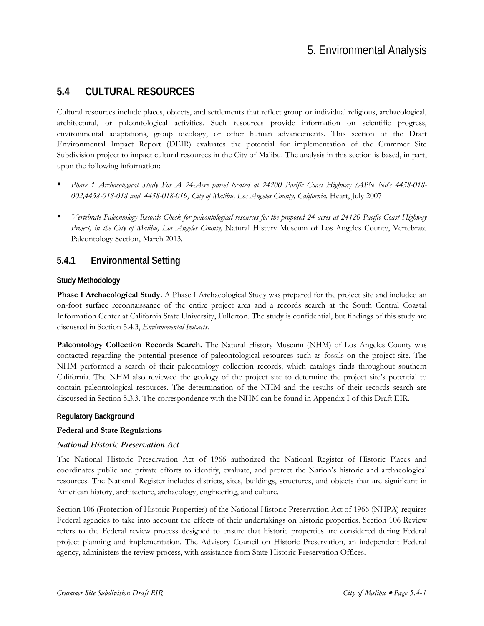# **5.4 CULTURAL RESOURCES**

Cultural resources include places, objects, and settlements that reflect group or individual religious, archaeological, architectural, or paleontological activities. Such resources provide information on scientific progress, environmental adaptations, group ideology, or other human advancements. This section of the Draft Environmental Impact Report (DEIR) evaluates the potential for implementation of the Crummer Site Subdivision project to impact cultural resources in the City of Malibu. The analysis in this section is based, in part, upon the following information:

- *Phase 1 Archaeological Study For A 24-Acre parcel located at 24200 Pacific Coast Highway (APN No's 4458-018-* 002,4458-018-018 and, 4458-018-019) City of Malibu, Los Angeles County, California, Heart, July 2007
- *Vertebrate Paleontology Records Check for paleontological resources for the proposed 24 acres at 24120 Pacific Coast Highway Project, in the City of Malibu, Los Angeles County,* Natural History Museum of Los Angeles County, Vertebrate Paleontology Section, March 2013.

## **5.4.1 Environmental Setting**

#### **Study Methodology**

**Phase I Archaeological Study.** A Phase I Archaeological Study was prepared for the project site and included an on-foot surface reconnaissance of the entire project area and a records search at the South Central Coastal Information Center at California State University, Fullerton. The study is confidential, but findings of this study are discussed in Section 5.4.3, *Environmental Impacts*.

**Paleontology Collection Records Search.** The Natural History Museum (NHM) of Los Angeles County was contacted regarding the potential presence of paleontological resources such as fossils on the project site. The NHM performed a search of their paleontology collection records, which catalogs finds throughout southern California. The NHM also reviewed the geology of the project site to determine the project site's potential to contain paleontological resources. The determination of the NHM and the results of their records search are discussed in Section 5.3.3. The correspondence with the NHM can be found in Appendix I of this Draft EIR.

#### **Regulatory Background**

#### **Federal and State Regulations**

#### *National Historic Preservation Act*

The National Historic Preservation Act of 1966 authorized the National Register of Historic Places and coordinates public and private efforts to identify, evaluate, and protect the Nation's historic and archaeological resources. The National Register includes districts, sites, buildings, structures, and objects that are significant in American history, architecture, archaeology, engineering, and culture.

Section 106 (Protection of Historic Properties) of the National Historic Preservation Act of 1966 (NHPA) requires Federal agencies to take into account the effects of their undertakings on historic properties. Section 106 Review refers to the Federal review process designed to ensure that historic properties are considered during Federal project planning and implementation. The Advisory Council on Historic Preservation, an independent Federal agency, administers the review process, with assistance from State Historic Preservation Offices.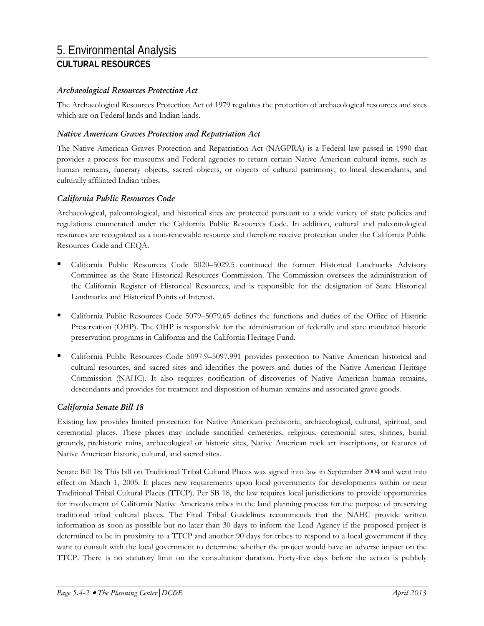#### *Archaeological Resources Protection Act*

The Archaeological Resources Protection Act of 1979 regulates the protection of archaeological resources and sites which are on Federal lands and Indian lands.

#### *Native American Graves Protection and Repatriation Act*

The Native American Graves Protection and Repatriation Act (NAGPRA) is a Federal law passed in 1990 that provides a process for museums and Federal agencies to return certain Native American cultural items, such as human remains, funerary objects, sacred objects, or objects of cultural patrimony, to lineal descendants, and culturally affiliated Indian tribes.

#### *California Public Resources Code*

Archaeological, paleontological, and historical sites are protected pursuant to a wide variety of state policies and regulations enumerated under the California Public Resources Code. In addition, cultural and paleontological resources are recognized as a non-renewable resource and therefore receive protection under the California Public Resources Code and CEQA.

- California Public Resources Code 5020–5029.5 continued the former Historical Landmarks Advisory Committee as the State Historical Resources Commission. The Commission oversees the administration of the California Register of Historical Resources, and is responsible for the designation of State Historical Landmarks and Historical Points of Interest.
- California Public Resources Code 5079–5079.65 defines the functions and duties of the Office of Historic Preservation (OHP). The OHP is responsible for the administration of federally and state mandated historic preservation programs in California and the California Heritage Fund.
- California Public Resources Code 5097.9–5097.991 provides protection to Native American historical and cultural resources, and sacred sites and identifies the powers and duties of the Native American Heritage Commission (NAHC). It also requires notification of discoveries of Native American human remains, descendants and provides for treatment and disposition of human remains and associated grave goods.

#### *California Senate Bill 18*

Existing law provides limited protection for Native American prehistoric, archaeological, cultural, spiritual, and ceremonial places. These places may include sanctified cemeteries, religious, ceremonial sites, shrines, burial grounds, prehistoric ruins, archaeological or historic sites, Native American rock art inscriptions, or features of Native American historic, cultural, and sacred sites.

Senate Bill 18: This bill on Traditional Tribal Cultural Places was signed into law in September 2004 and went into effect on March 1, 2005. It places new requirements upon local governments for developments within or near Traditional Tribal Cultural Places (TTCP). Per SB 18, the law requires local jurisdictions to provide opportunities for involvement of California Native Americans tribes in the land planning process for the purpose of preserving traditional tribal cultural places. The Final Tribal Guidelines recommends that the NAHC provide written information as soon as possible but no later than 30 days to inform the Lead Agency if the proposed project is determined to be in proximity to a TTCP and another 90 days for tribes to respond to a local government if they want to consult with the local government to determine whether the project would have an adverse impact on the TTCP. There is no statutory limit on the consultation duration. Forty-five days before the action is publicly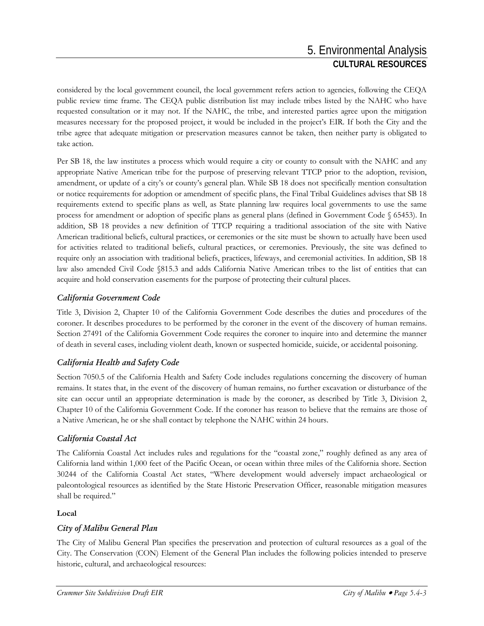considered by the local government council, the local government refers action to agencies, following the CEQA public review time frame. The CEQA public distribution list may include tribes listed by the NAHC who have requested consultation or it may not. If the NAHC, the tribe, and interested parties agree upon the mitigation measures necessary for the proposed project, it would be included in the project's EIR. If both the City and the tribe agree that adequate mitigation or preservation measures cannot be taken, then neither party is obligated to take action.

Per SB 18, the law institutes a process which would require a city or county to consult with the NAHC and any appropriate Native American tribe for the purpose of preserving relevant TTCP prior to the adoption, revision, amendment, or update of a city's or county's general plan. While SB 18 does not specifically mention consultation or notice requirements for adoption or amendment of specific plans, the Final Tribal Guidelines advises that SB 18 requirements extend to specific plans as well, as State planning law requires local governments to use the same process for amendment or adoption of specific plans as general plans (defined in Government Code § 65453). In addition, SB 18 provides a new definition of TTCP requiring a traditional association of the site with Native American traditional beliefs, cultural practices, or ceremonies or the site must be shown to actually have been used for activities related to traditional beliefs, cultural practices, or ceremonies. Previously, the site was defined to require only an association with traditional beliefs, practices, lifeways, and ceremonial activities. In addition, SB 18 law also amended Civil Code §815.3 and adds California Native American tribes to the list of entities that can acquire and hold conservation easements for the purpose of protecting their cultural places.

### *California Government Code*

Title 3, Division 2, Chapter 10 of the California Government Code describes the duties and procedures of the coroner. It describes procedures to be performed by the coroner in the event of the discovery of human remains. Section 27491 of the California Government Code requires the coroner to inquire into and determine the manner of death in several cases, including violent death, known or suspected homicide, suicide, or accidental poisoning.

### *California Health and Safety Code*

Section 7050.5 of the California Health and Safety Code includes regulations concerning the discovery of human remains. It states that, in the event of the discovery of human remains, no further excavation or disturbance of the site can occur until an appropriate determination is made by the coroner, as described by Title 3, Division 2, Chapter 10 of the California Government Code. If the coroner has reason to believe that the remains are those of a Native American, he or she shall contact by telephone the NAHC within 24 hours.

### *California Coastal Act*

The California Coastal Act includes rules and regulations for the "coastal zone," roughly defined as any area of California land within 1,000 feet of the Pacific Ocean, or ocean within three miles of the California shore. Section 30244 of the California Coastal Act states, "Where development would adversely impact archaeological or paleontological resources as identified by the State Historic Preservation Officer, reasonable mitigation measures shall be required."

#### **Local**

### *City of Malibu General Plan*

The City of Malibu General Plan specifies the preservation and protection of cultural resources as a goal of the City. The Conservation (CON) Element of the General Plan includes the following policies intended to preserve historic, cultural, and archaeological resources: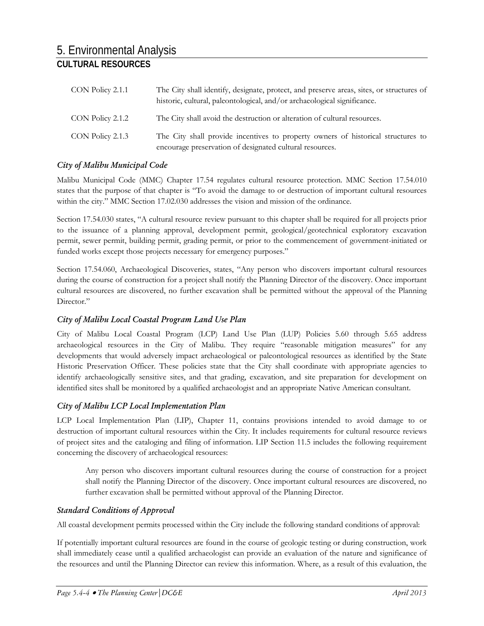| CON Policy 2.1.1 | The City shall identify, designate, protect, and preserve areas, sites, or structures of<br>historic, cultural, paleontological, and/or archaeological significance. |
|------------------|----------------------------------------------------------------------------------------------------------------------------------------------------------------------|
| CON Policy 2.1.2 | The City shall avoid the destruction or alteration of cultural resources.                                                                                            |
| CON Policy 2.1.3 | The City shall provide incentives to property owners of historical structures to<br>encourage preservation of designated cultural resources.                         |

#### *City of Malibu Municipal Code*

Malibu Municipal Code (MMC) Chapter 17.54 regulates cultural resource protection. MMC Section 17.54.010 states that the purpose of that chapter is "To avoid the damage to or destruction of important cultural resources within the city." MMC Section 17.02.030 addresses the vision and mission of the ordinance.

Section 17.54.030 states, "A cultural resource review pursuant to this chapter shall be required for all projects prior to the issuance of a planning approval, development permit, geological/geotechnical exploratory excavation permit, sewer permit, building permit, grading permit, or prior to the commencement of government-initiated or funded works except those projects necessary for emergency purposes."

Section 17.54.060, Archaeological Discoveries, states, "Any person who discovers important cultural resources during the course of construction for a project shall notify the Planning Director of the discovery. Once important cultural resources are discovered, no further excavation shall be permitted without the approval of the Planning Director."

#### *City of Malibu Local Coastal Program Land Use Plan*

City of Malibu Local Coastal Program (LCP) Land Use Plan (LUP) Policies 5.60 through 5.65 address archaeological resources in the City of Malibu. They require "reasonable mitigation measures" for any developments that would adversely impact archaeological or paleontological resources as identified by the State Historic Preservation Officer. These policies state that the City shall coordinate with appropriate agencies to identify archaeologically sensitive sites, and that grading, excavation, and site preparation for development on identified sites shall be monitored by a qualified archaeologist and an appropriate Native American consultant.

#### *City of Malibu LCP Local Implementation Plan*

LCP Local Implementation Plan (LIP), Chapter 11, contains provisions intended to avoid damage to or destruction of important cultural resources within the City. It includes requirements for cultural resource reviews of project sites and the cataloging and filing of information. LIP Section 11.5 includes the following requirement concerning the discovery of archaeological resources:

Any person who discovers important cultural resources during the course of construction for a project shall notify the Planning Director of the discovery. Once important cultural resources are discovered, no further excavation shall be permitted without approval of the Planning Director.

#### *Standard Conditions of Approval*

All coastal development permits processed within the City include the following standard conditions of approval:

If potentially important cultural resources are found in the course of geologic testing or during construction, work shall immediately cease until a qualified archaeologist can provide an evaluation of the nature and significance of the resources and until the Planning Director can review this information. Where, as a result of this evaluation, the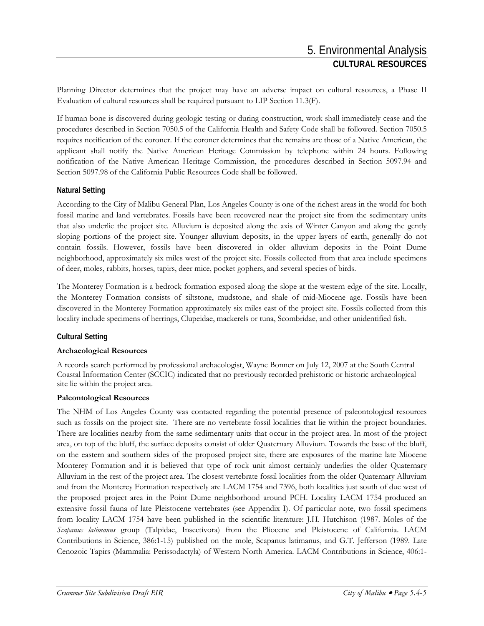Planning Director determines that the project may have an adverse impact on cultural resources, a Phase II Evaluation of cultural resources shall be required pursuant to LIP Section 11.3(F).

If human bone is discovered during geologic testing or during construction, work shall immediately cease and the procedures described in Section 7050.5 of the California Health and Safety Code shall be followed. Section 7050.5 requires notification of the coroner. If the coroner determines that the remains are those of a Native American, the applicant shall notify the Native American Heritage Commission by telephone within 24 hours. Following notification of the Native American Heritage Commission, the procedures described in Section 5097.94 and Section 5097.98 of the California Public Resources Code shall be followed.

#### **Natural Setting**

According to the City of Malibu General Plan, Los Angeles County is one of the richest areas in the world for both fossil marine and land vertebrates. Fossils have been recovered near the project site from the sedimentary units that also underlie the project site. Alluvium is deposited along the axis of Winter Canyon and along the gently sloping portions of the project site. Younger alluvium deposits, in the upper layers of earth, generally do not contain fossils. However, fossils have been discovered in older alluvium deposits in the Point Dume neighborhood, approximately six miles west of the project site. Fossils collected from that area include specimens of deer, moles, rabbits, horses, tapirs, deer mice, pocket gophers, and several species of birds.

The Monterey Formation is a bedrock formation exposed along the slope at the western edge of the site. Locally, the Monterey Formation consists of siltstone, mudstone, and shale of mid-Miocene age. Fossils have been discovered in the Monterey Formation approximately six miles east of the project site. Fossils collected from this locality include specimens of herrings, Clupeidae, mackerels or tuna, Scombridae, and other unidentified fish.

#### **Cultural Setting**

#### **Archaeological Resources**

A records search performed by professional archaeologist, Wayne Bonner on July 12, 2007 at the South Central Coastal Information Center (SCCIC) indicated that no previously recorded prehistoric or historic archaeological site lie within the project area.

#### **Paleontological Resources**

The NHM of Los Angeles County was contacted regarding the potential presence of paleontological resources such as fossils on the project site. There are no vertebrate fossil localities that lie within the project boundaries. There are localities nearby from the same sedimentary units that occur in the project area. In most of the project area, on top of the bluff, the surface deposits consist of older Quaternary Alluvium. Towards the base of the bluff, on the eastern and southern sides of the proposed project site, there are exposures of the marine late Miocene Monterey Formation and it is believed that type of rock unit almost certainly underlies the older Quaternary Alluvium in the rest of the project area. The closest vertebrate fossil localities from the older Quaternary Alluvium and from the Monterey Formation respectively are LACM 1754 and 7396, both localities just south of due west of the proposed project area in the Point Dume neighborhood around PCH. Locality LACM 1754 produced an extensive fossil fauna of late Pleistocene vertebrates (see Appendix I). Of particular note, two fossil specimens from locality LACM 1754 have been published in the scientific literature: J.H. Hutchison (1987. Moles of the *Scapanus latimanus* group (Talpidae, Insectivora) from the Pliocene and Pleistocene of California. LACM Contributions in Science, 386:1-15) published on the mole, Scapanus latimanus, and G.T. Jefferson (1989. Late Cenozoic Tapirs (Mammalia: Perissodactyla) of Western North America. LACM Contributions in Science, 406:1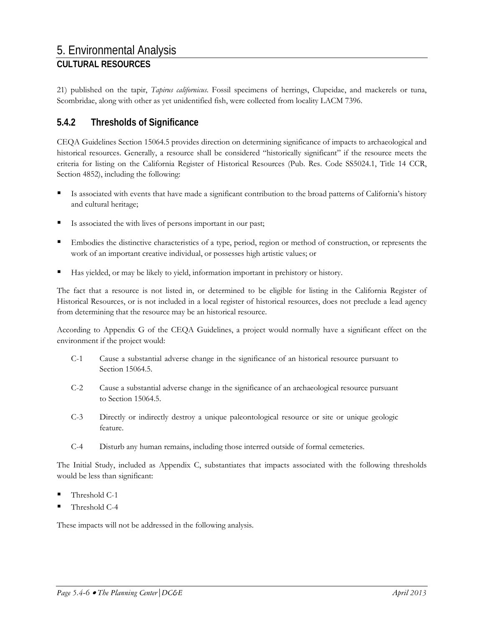21) published on the tapir, *Tapirus californicus*. Fossil specimens of herrings, Clupeidae, and mackerels or tuna, Scombridae, along with other as yet unidentified fish, were collected from locality LACM 7396.

# **5.4.2 Thresholds of Significance**

CEQA Guidelines Section 15064.5 provides direction on determining significance of impacts to archaeological and historical resources. Generally, a resource shall be considered "historically significant" if the resource meets the criteria for listing on the California Register of Historical Resources (Pub. Res. Code SS5024.1, Title 14 CCR, Section 4852), including the following:

- Is associated with events that have made a significant contribution to the broad patterns of California's history and cultural heritage;
- Is associated the with lives of persons important in our past;
- Embodies the distinctive characteristics of a type, period, region or method of construction, or represents the work of an important creative individual, or possesses high artistic values; or
- Has yielded, or may be likely to yield, information important in prehistory or history.

The fact that a resource is not listed in, or determined to be eligible for listing in the California Register of Historical Resources, or is not included in a local register of historical resources, does not preclude a lead agency from determining that the resource may be an historical resource.

According to Appendix G of the CEQA Guidelines, a project would normally have a significant effect on the environment if the project would:

- C-1 Cause a substantial adverse change in the significance of an historical resource pursuant to Section 15064.5.
- C-2 Cause a substantial adverse change in the significance of an archaeological resource pursuant to Section 15064.5.
- C-3 Directly or indirectly destroy a unique paleontological resource or site or unique geologic feature.
- C-4 Disturb any human remains, including those interred outside of formal cemeteries.

The Initial Study, included as Appendix C, substantiates that impacts associated with the following thresholds would be less than significant:

- Threshold C-1
- Threshold C-4

These impacts will not be addressed in the following analysis.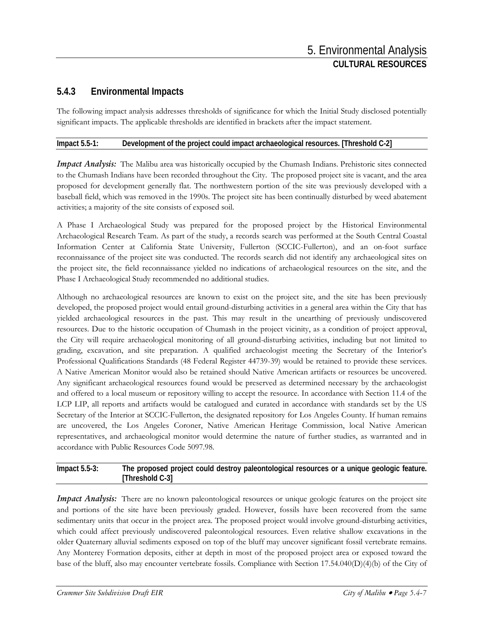## **5.4.3 Environmental Impacts**

The following impact analysis addresses thresholds of significance for which the Initial Study disclosed potentially significant impacts. The applicable thresholds are identified in brackets after the impact statement.

#### **Impact 5.5-1: Development of the project could impact archaeological resources. [Threshold C-2]**

*Impact Analysis:* The Malibu area was historically occupied by the Chumash Indians. Prehistoric sites connected to the Chumash Indians have been recorded throughout the City. The proposed project site is vacant, and the area proposed for development generally flat. The northwestern portion of the site was previously developed with a baseball field, which was removed in the 1990s. The project site has been continually disturbed by weed abatement activities; a majority of the site consists of exposed soil.

A Phase I Archaeological Study was prepared for the proposed project by the Historical Environmental Archaeological Research Team. As part of the study, a records search was performed at the South Central Coastal Information Center at California State University, Fullerton (SCCIC-Fullerton), and an on-foot surface reconnaissance of the project site was conducted. The records search did not identify any archaeological sites on the project site, the field reconnaissance yielded no indications of archaeological resources on the site, and the Phase I Archaeological Study recommended no additional studies.

Although no archaeological resources are known to exist on the project site, and the site has been previously developed, the proposed project would entail ground-disturbing activities in a general area within the City that has yielded archaeological resources in the past. This may result in the unearthing of previously undiscovered resources. Due to the historic occupation of Chumash in the project vicinity, as a condition of project approval, the City will require archaeological monitoring of all ground-disturbing activities, including but not limited to grading, excavation, and site preparation. A qualified archaeologist meeting the Secretary of the Interior's Professional Qualifications Standards (48 Federal Register 44739-39) would be retained to provide these services. A Native American Monitor would also be retained should Native American artifacts or resources be uncovered. Any significant archaeological resources found would be preserved as determined necessary by the archaeologist and offered to a local museum or repository willing to accept the resource. In accordance with Section 11.4 of the LCP LIP, all reports and artifacts would be catalogued and curated in accordance with standards set by the US Secretary of the Interior at SCCIC-Fullerton, the designated repository for Los Angeles County. If human remains are uncovered, the Los Angeles Coroner, Native American Heritage Commission, local Native American representatives, and archaeological monitor would determine the nature of further studies, as warranted and in accordance with Public Resources Code 5097.98.

#### **Impact 5.5-3: The proposed project could destroy paleontological resources or a unique geologic feature. [Threshold C-3]**

*Impact Analysis:* There are no known paleontological resources or unique geologic features on the project site and portions of the site have been previously graded. However, fossils have been recovered from the same sedimentary units that occur in the project area. The proposed project would involve ground-disturbing activities, which could affect previously undiscovered paleontological resources. Even relative shallow excavations in the older Quaternary alluvial sediments exposed on top of the bluff may uncover significant fossil vertebrate remains. Any Monterey Formation deposits, either at depth in most of the proposed project area or exposed toward the base of the bluff, also may encounter vertebrate fossils. Compliance with Section 17.54.040(D)(4)(b) of the City of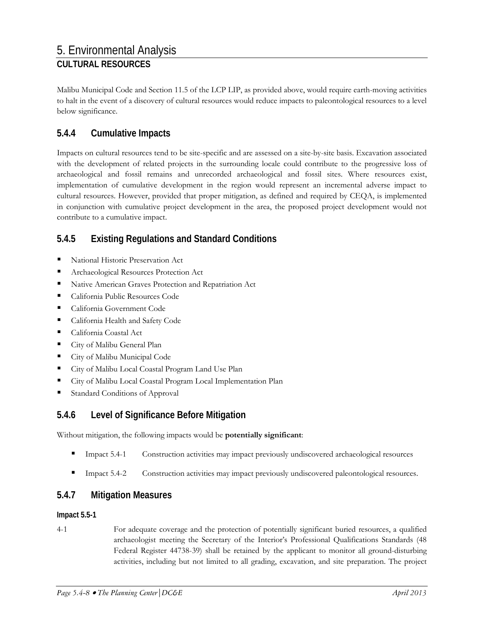Malibu Municipal Code and Section 11.5 of the LCP LIP, as provided above, would require earth-moving activities to halt in the event of a discovery of cultural resources would reduce impacts to paleontological resources to a level below significance.

## **5.4.4 Cumulative Impacts**

Impacts on cultural resources tend to be site-specific and are assessed on a site-by-site basis. Excavation associated with the development of related projects in the surrounding locale could contribute to the progressive loss of archaeological and fossil remains and unrecorded archaeological and fossil sites. Where resources exist, implementation of cumulative development in the region would represent an incremental adverse impact to cultural resources. However, provided that proper mitigation, as defined and required by CEQA, is implemented in conjunction with cumulative project development in the area, the proposed project development would not contribute to a cumulative impact.

## **5.4.5 Existing Regulations and Standard Conditions**

- National Historic Preservation Act
- Archaeological Resources Protection Act
- **Native American Graves Protection and Repatriation Act**
- California Public Resources Code
- **California Government Code**
- **California Health and Safety Code**
- California Coastal Act
- **City of Malibu General Plan**
- **City of Malibu Municipal Code**
- City of Malibu Local Coastal Program Land Use Plan
- City of Malibu Local Coastal Program Local Implementation Plan
- Standard Conditions of Approval

### **5.4.6 Level of Significance Before Mitigation**

Without mitigation, the following impacts would be **potentially significant**:

- Impact 5.4-1 Construction activities may impact previously undiscovered archaeological resources
- Impact 5.4-2 Construction activities may impact previously undiscovered paleontological resources.

### **5.4.7 Mitigation Measures**

#### **Impact 5.5-1**

4-1 For adequate coverage and the protection of potentially significant buried resources, a qualified archaeologist meeting the Secretary of the Interior's Professional Qualifications Standards (48 Federal Register 44738-39) shall be retained by the applicant to monitor all ground-disturbing activities, including but not limited to all grading, excavation, and site preparation. The project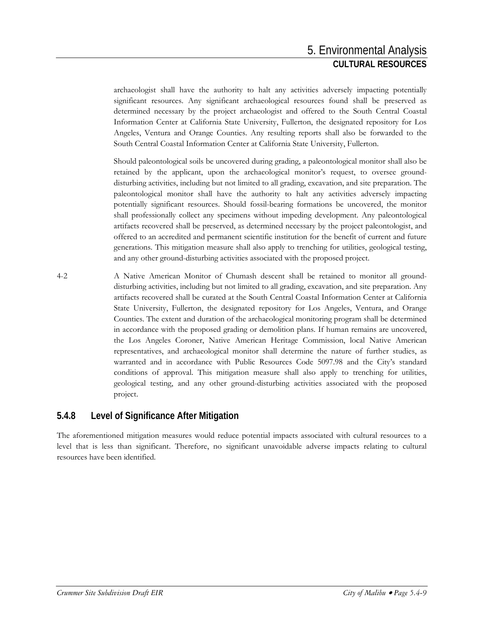archaeologist shall have the authority to halt any activities adversely impacting potentially significant resources. Any significant archaeological resources found shall be preserved as determined necessary by the project archaeologist and offered to the South Central Coastal Information Center at California State University, Fullerton, the designated repository for Los Angeles, Ventura and Orange Counties. Any resulting reports shall also be forwarded to the South Central Coastal Information Center at California State University, Fullerton.

Should paleontological soils be uncovered during grading, a paleontological monitor shall also be retained by the applicant, upon the archaeological monitor's request, to oversee grounddisturbing activities, including but not limited to all grading, excavation, and site preparation. The paleontological monitor shall have the authority to halt any activities adversely impacting potentially significant resources. Should fossil-bearing formations be uncovered, the monitor shall professionally collect any specimens without impeding development. Any paleontological artifacts recovered shall be preserved, as determined necessary by the project paleontologist, and offered to an accredited and permanent scientific institution for the benefit of current and future generations. This mitigation measure shall also apply to trenching for utilities, geological testing, and any other ground-disturbing activities associated with the proposed project.

4-2 A Native American Monitor of Chumash descent shall be retained to monitor all grounddisturbing activities, including but not limited to all grading, excavation, and site preparation. Any artifacts recovered shall be curated at the South Central Coastal Information Center at California State University, Fullerton, the designated repository for Los Angeles, Ventura, and Orange Counties. The extent and duration of the archaeological monitoring program shall be determined in accordance with the proposed grading or demolition plans. If human remains are uncovered, the Los Angeles Coroner, Native American Heritage Commission, local Native American representatives, and archaeological monitor shall determine the nature of further studies, as warranted and in accordance with Public Resources Code 5097.98 and the City's standard conditions of approval. This mitigation measure shall also apply to trenching for utilities, geological testing, and any other ground-disturbing activities associated with the proposed project.

## **5.4.8 Level of Significance After Mitigation**

The aforementioned mitigation measures would reduce potential impacts associated with cultural resources to a level that is less than significant. Therefore, no significant unavoidable adverse impacts relating to cultural resources have been identified.